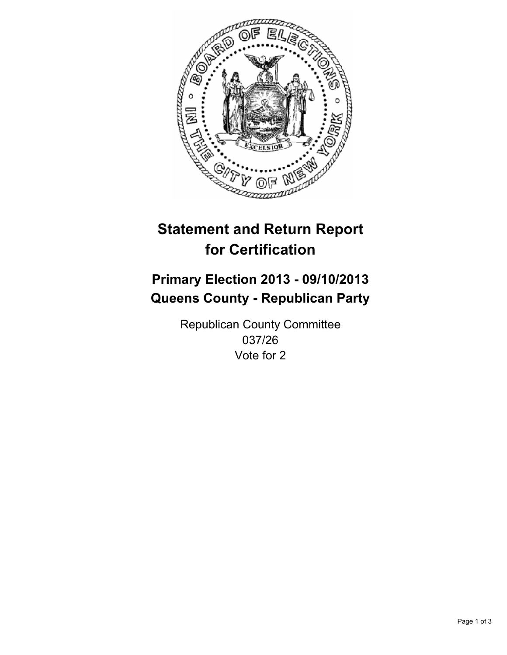

# **Statement and Return Report for Certification**

# **Primary Election 2013 - 09/10/2013 Queens County - Republican Party**

Republican County Committee 037/26 Vote for 2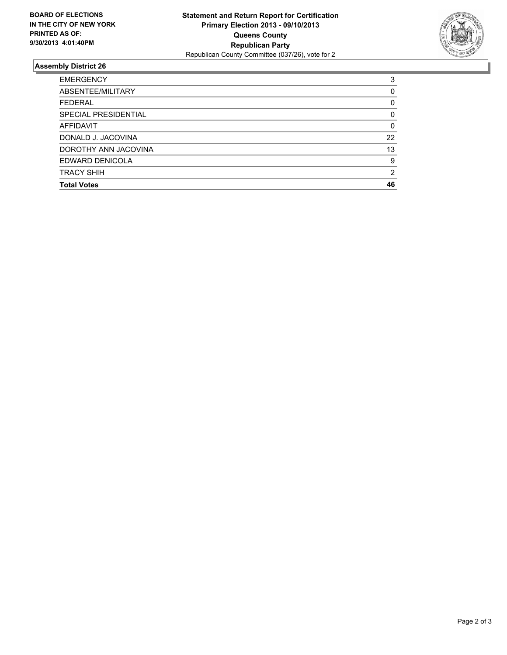

## **Assembly District 26**

| 3        |
|----------|
| 0        |
| 0        |
| 0        |
| $\Omega$ |
| 22       |
| 13       |
| 9        |
| 2        |
| 46       |
|          |